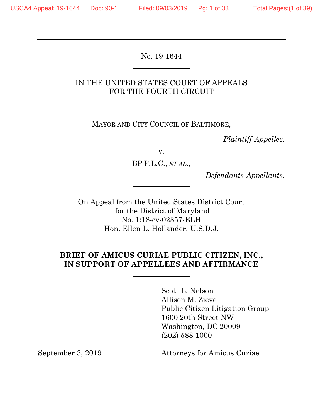$\overline{a}$ 

 $\overline{a}$ 

No. 19-1644

## IN THE UNITED STATES COURT OF APPEALS FOR THE FOURTH CIRCUIT

MAYOR AND CITY COUNCIL OF BALTIMORE,

*Plaintiff-Appellee,*

v.

BP P.L.C., *ET AL.*,

*Defendants-Appellants*.

On Appeal from the United States District Court for the District of Maryland No. 1:18-cv-02357-ELH Hon. Ellen L. Hollander, U.S.D.J.

## **BRIEF OF AMICUS CURIAE PUBLIC CITIZEN, INC., IN SUPPORT OF APPELLEES AND AFFIRMANCE**

Scott L. Nelson Allison M. Zieve Public Citizen Litigation Group 1600 20th Street NW Washington, DC 20009 (202) 588-1000

September 3, 2019 Attorneys for Amicus Curiae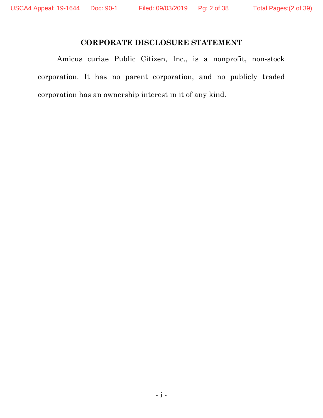## **CORPORATE DISCLOSURE STATEMENT**

Amicus curiae Public Citizen, Inc., is a nonprofit, non-stock corporation. It has no parent corporation, and no publicly traded corporation has an ownership interest in it of any kind.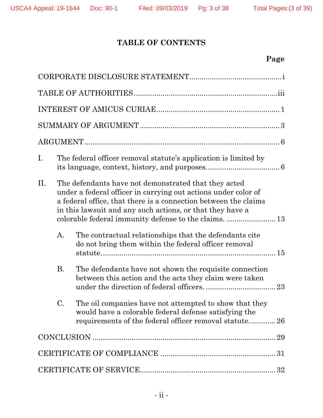# **TABLE OF CONTENTS**

# **Page**

| I.  | The federal officer removal statute's application is limited by                                                                                                                                                                                        |                                                                                                                                                                          |  |
|-----|--------------------------------------------------------------------------------------------------------------------------------------------------------------------------------------------------------------------------------------------------------|--------------------------------------------------------------------------------------------------------------------------------------------------------------------------|--|
| II. | The defendants have not demonstrated that they acted<br>under a federal officer in carrying out actions under color of<br>a federal office, that there is a connection between the claims<br>in this lawsuit and any such actions, or that they have a |                                                                                                                                                                          |  |
|     | A.                                                                                                                                                                                                                                                     | The contractual relationships that the defendants cite<br>do not bring them within the federal officer removal                                                           |  |
|     | <b>B.</b>                                                                                                                                                                                                                                              | The defendants have not shown the requisite connection<br>between this action and the acts they claim were taken                                                         |  |
|     | C.                                                                                                                                                                                                                                                     | The oil companies have not attempted to show that they<br>would have a colorable federal defense satisfying the<br>requirements of the federal officer removal statute26 |  |
|     |                                                                                                                                                                                                                                                        |                                                                                                                                                                          |  |
|     |                                                                                                                                                                                                                                                        |                                                                                                                                                                          |  |
|     |                                                                                                                                                                                                                                                        |                                                                                                                                                                          |  |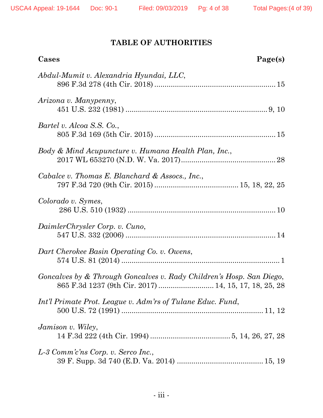# **TABLE OF AUTHORITIES**

| Cases<br>Page(s)                                                                                                              |
|-------------------------------------------------------------------------------------------------------------------------------|
| Abdul-Mumit v. Alexandria Hyundai, LLC,                                                                                       |
| Arizona v. Manypenny,                                                                                                         |
| Bartel v. Alcoa S.S. Co.,                                                                                                     |
| Body & Mind Acupuncture v. Humana Health Plan, Inc.,                                                                          |
| Cabalce v. Thomas E. Blanchard & Assocs., Inc.,                                                                               |
| Colorado v. Symes,                                                                                                            |
| DaimlerChrysler Corp. v. Cuno,                                                                                                |
| Dart Cherokee Basin Operating Co. v. Owens,                                                                                   |
| Goncalves by & Through Goncalves v. Rady Children's Hosp. San Diego,<br>865 F.3d 1237 (9th Cir. 2017)  14, 15, 17, 18, 25, 28 |
| Int'l Primate Prot. League v. Adm'rs of Tulane Educ. Fund,                                                                    |
| Jamison v. Wiley,                                                                                                             |
| L-3 Comm'c'ns Corp. v. Serco Inc.,                                                                                            |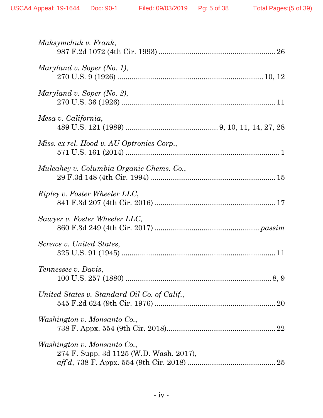| Maksymchuk v. Frank,                                                                                                                       |
|--------------------------------------------------------------------------------------------------------------------------------------------|
| Maryland v. Soper (No. 1),                                                                                                                 |
| Maryland v. Soper (No. 2),                                                                                                                 |
| Mesa v. California,                                                                                                                        |
| Miss. ex rel. Hood v. AU Optronics Corp.,                                                                                                  |
| Mulcahey v. Columbia Organic Chems. Co.,                                                                                                   |
| Ripley v. Foster Wheeler LLC,                                                                                                              |
| Sawyer v. Foster Wheeler LLC,                                                                                                              |
| Screws v. United States,                                                                                                                   |
| Tennessee v. Davis,                                                                                                                        |
| United States v. Standard Oil Co. of Calif.,                                                                                               |
| Washington v. Monsanto Co.,                                                                                                                |
| Washington v. Monsanto Co.,<br>274 F. Supp. 3d 1125 (W.D. Wash. 2017),<br>$affd, 738 \text{ F. Appx. } 554 \text{ (9th Cir. } 2018) \dots$ |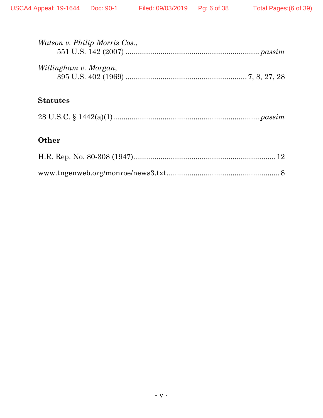| Watson v. Philip Morris Cos., |
|-------------------------------|
| Willingham v. Morgan,         |
| <b>Statutes</b>               |
|                               |
| Other                         |
|                               |

 $\\{\bf www.tngenweb.org/monroe/news3.txt.................8}$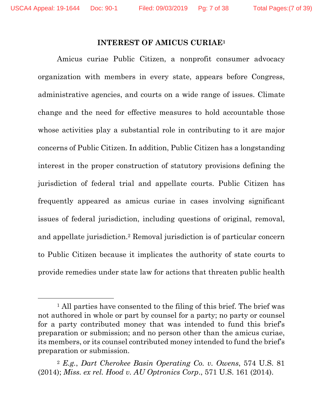#### **INTEREST OF AMICUS CURIAE1**

Amicus curiae Public Citizen, a nonprofit consumer advocacy organization with members in every state, appears before Congress, administrative agencies, and courts on a wide range of issues. Climate change and the need for effective measures to hold accountable those whose activities play a substantial role in contributing to it are major concerns of Public Citizen. In addition, Public Citizen has a longstanding interest in the proper construction of statutory provisions defining the jurisdiction of federal trial and appellate courts. Public Citizen has frequently appeared as amicus curiae in cases involving significant issues of federal jurisdiction, including questions of original, removal, and appellate jurisdiction.2 Removal jurisdiction is of particular concern to Public Citizen because it implicates the authority of state courts to provide remedies under state law for actions that threaten public health

<sup>&</sup>lt;sup>1</sup> All parties have consented to the filing of this brief. The brief was not authored in whole or part by counsel for a party; no party or counsel for a party contributed money that was intended to fund this brief's preparation or submission; and no person other than the amicus curiae, its members, or its counsel contributed money intended to fund the brief's preparation or submission.

<sup>2</sup> *E.g.*, *Dart Cherokee Basin Operating Co. v. Owens*, 574 U.S. 81 (2014); *Miss. ex rel. Hood v. AU Optronics Corp*., 571 U.S. 161 (2014).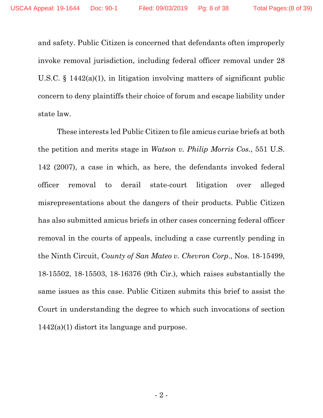and safety. Public Citizen is concerned that defendants often improperly invoke removal jurisdiction, including federal officer removal under 28 U.S.C. § 1442(a)(1), in litigation involving matters of significant public concern to deny plaintiffs their choice of forum and escape liability under state law.

These interests led Public Citizen to file amicus curiae briefs at both the petition and merits stage in *Watson v. Philip Morris Cos.*, 551 U.S. 142 (2007), a case in which, as here, the defendants invoked federal officer removal to derail state-court litigation over alleged misrepresentations about the dangers of their products. Public Citizen has also submitted amicus briefs in other cases concerning federal officer removal in the courts of appeals, including a case currently pending in the Ninth Circuit, *County of San Mateo v. Chevron Corp*., Nos. 18-15499, 18-15502, 18-15503, 18-16376 (9th Cir.), which raises substantially the same issues as this case. Public Citizen submits this brief to assist the Court in understanding the degree to which such invocations of section 1442(a)(1) distort its language and purpose.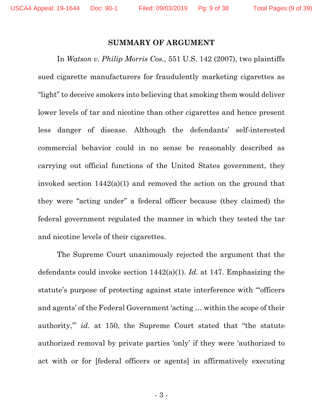#### **SUMMARY OF ARGUMENT**

In *Watson v. Philip Morris Cos.*, 551 U.S. 142 (2007), two plaintiffs sued cigarette manufacturers for fraudulently marketing cigarettes as "light" to deceive smokers into believing that smoking them would deliver lower levels of tar and nicotine than other cigarettes and hence present less danger of disease. Although the defendants' self-interested commercial behavior could in no sense be reasonably described as carrying out official functions of the United States government, they invoked section 1442(a)(1) and removed the action on the ground that they were "acting under" a federal officer because (they claimed) the federal government regulated the manner in which they tested the tar and nicotine levels of their cigarettes.

The Supreme Court unanimously rejected the argument that the defendants could invoke section 1442(a)(1). *Id*. at 147. Emphasizing the statute's purpose of protecting against state interference with "'officers and agents' of the Federal Government 'acting … within the scope of their authority,'" *id*. at 150, the Supreme Court stated that "the statute authorized removal by private parties 'only' if they were 'authorized to act with or for [federal officers or agents] in affirmatively executing

- 3 -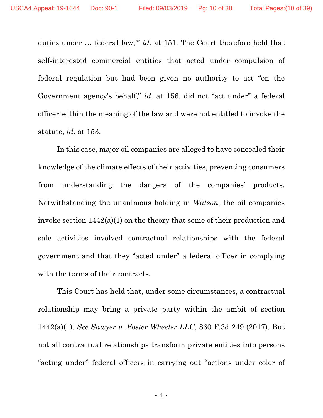duties under … federal law,'" *id*. at 151. The Court therefore held that self-interested commercial entities that acted under compulsion of federal regulation but had been given no authority to act "on the Government agency's behalf," *id*. at 156, did not "act under" a federal officer within the meaning of the law and were not entitled to invoke the statute, *id*. at 153.

In this case, major oil companies are alleged to have concealed their knowledge of the climate effects of their activities, preventing consumers from understanding the dangers of the companies' products. Notwithstanding the unanimous holding in *Watson*, the oil companies invoke section 1442(a)(1) on the theory that some of their production and sale activities involved contractual relationships with the federal government and that they "acted under" a federal officer in complying with the terms of their contracts.

This Court has held that, under some circumstances, a contractual relationship may bring a private party within the ambit of section 1442(a)(1). *See Sawyer v. Foster Wheeler LLC*, 860 F.3d 249 (2017). But not all contractual relationships transform private entities into persons "acting under" federal officers in carrying out "actions under color of

- 4 -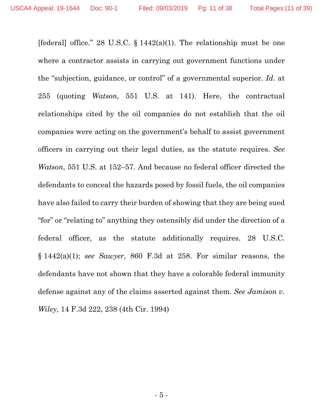[federal] office." 28 U.S.C.  $\S 1442(a)(1)$ . The relationship must be one where a contractor assists in carrying out government functions under the "subjection, guidance, or control" of a governmental superior. *Id*. at 255 (quoting *Watson*, 551 U.S. at 141). Here, the contractual relationships cited by the oil companies do not establish that the oil companies were acting on the government's behalf to assist government officers in carrying out their legal duties, as the statute requires. *See Watson*, 551 U.S. at 152–57. And because no federal officer directed the defendants to conceal the hazards posed by fossil fuels, the oil companies have also failed to carry their burden of showing that they are being sued "for" or "relating to" anything they ostensibly did under the direction of a federal officer, as the statute additionally requires. 28 U.S.C. § 1442(a)(1); *see Sawyer*, 860 F.3d at 258. For similar reasons, the defendants have not shown that they have a colorable federal immunity defense against any of the claims asserted against them. *See Jamison v. Wiley*, 14 F.3d 222, 238 (4th Cir. 1994)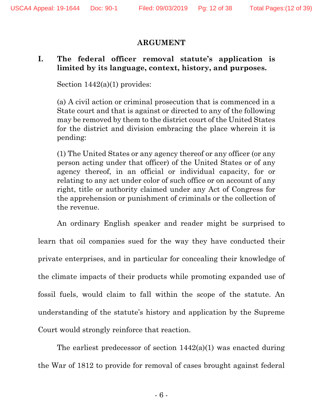### **ARGUMENT**

## **I. The federal officer removal statute's application is limited by its language, context, history, and purposes.**

Section  $1442(a)(1)$  provides:

(a) A civil action or criminal prosecution that is commenced in a State court and that is against or directed to any of the following may be removed by them to the district court of the United States for the district and division embracing the place wherein it is pending:

(1) The United States or any agency thereof or any officer (or any person acting under that officer) of the United States or of any agency thereof, in an official or individual capacity, for or relating to any act under color of such office or on account of any right, title or authority claimed under any Act of Congress for the apprehension or punishment of criminals or the collection of the revenue.

An ordinary English speaker and reader might be surprised to learn that oil companies sued for the way they have conducted their private enterprises, and in particular for concealing their knowledge of the climate impacts of their products while promoting expanded use of fossil fuels, would claim to fall within the scope of the statute. An understanding of the statute's history and application by the Supreme Court would strongly reinforce that reaction.

The earliest predecessor of section 1442(a)(1) was enacted during the War of 1812 to provide for removal of cases brought against federal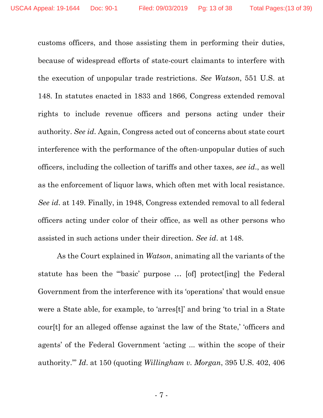customs officers, and those assisting them in performing their duties, because of widespread efforts of state-court claimants to interfere with the execution of unpopular trade restrictions. *See Watson*, 551 U.S. at 148. In statutes enacted in 1833 and 1866, Congress extended removal rights to include revenue officers and persons acting under their authority. *See id*. Again, Congress acted out of concerns about state court interference with the performance of the often-unpopular duties of such officers, including the collection of tariffs and other taxes, *see id*., as well as the enforcement of liquor laws, which often met with local resistance. *See id*. at 149. Finally, in 1948, Congress extended removal to all federal officers acting under color of their office, as well as other persons who assisted in such actions under their direction. *See id*. at 148.

As the Court explained in *Watson*, animating all the variants of the statute has been the "'basic' purpose … [of] protect[ing] the Federal Government from the interference with its 'operations' that would ensue were a State able, for example, to 'arres[t]' and bring 'to trial in a State cour[t] for an alleged offense against the law of the State,' 'officers and agents' of the Federal Government 'acting ... within the scope of their authority.'" *Id*. at 150 (quoting *Willingham v. Morgan*, 395 U.S. 402, 406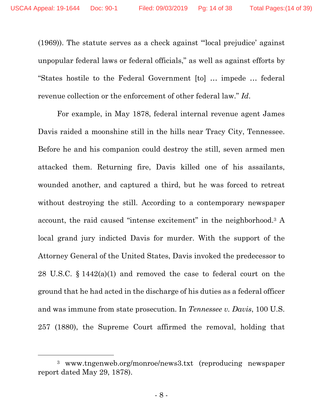(1969)). The statute serves as a check against "'local prejudice' against unpopular federal laws or federal officials," as well as against efforts by "States hostile to the Federal Government [to] … impede … federal revenue collection or the enforcement of other federal law." *Id*.

For example, in May 1878, federal internal revenue agent James Davis raided a moonshine still in the hills near Tracy City, Tennessee. Before he and his companion could destroy the still, seven armed men attacked them. Returning fire, Davis killed one of his assailants, wounded another, and captured a third, but he was forced to retreat without destroying the still. According to a contemporary newspaper account, the raid caused "intense excitement" in the neighborhood.3 A local grand jury indicted Davis for murder. With the support of the Attorney General of the United States, Davis invoked the predecessor to 28 U.S.C. § 1442(a)(1) and removed the case to federal court on the ground that he had acted in the discharge of his duties as a federal officer and was immune from state prosecution. In *Tennessee v. Davis*, 100 U.S. 257 (1880), the Supreme Court affirmed the removal, holding that

<sup>3</sup> www.tngenweb.org/monroe/news3.txt (reproducing newspaper report dated May 29, 1878).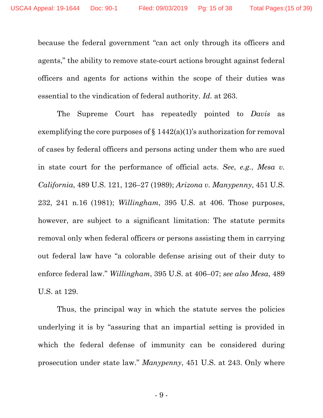because the federal government "can act only through its officers and agents," the ability to remove state-court actions brought against federal officers and agents for actions within the scope of their duties was essential to the vindication of federal authority. *Id.* at 263.

The Supreme Court has repeatedly pointed to *Davis* as exemplifying the core purposes of  $\S 1442(a)(1)$ 's authorization for removal of cases by federal officers and persons acting under them who are sued in state court for the performance of official acts. *See*, *e.g.*, *Mesa v. California*, 489 U.S. 121, 126–27 (1989); *Arizona v. Manypenny*, 451 U.S. 232, 241 n.16 (1981); *Willingham*, 395 U.S. at 406. Those purposes, however, are subject to a significant limitation: The statute permits removal only when federal officers or persons assisting them in carrying out federal law have "a colorable defense arising out of their duty to enforce federal law." *Willingham*, 395 U.S. at 406–07; *see also Mesa*, 489 U.S. at 129.

Thus, the principal way in which the statute serves the policies underlying it is by "assuring that an impartial setting is provided in which the federal defense of immunity can be considered during prosecution under state law." *Manypenny*, 451 U.S. at 243. Only where

- 9 -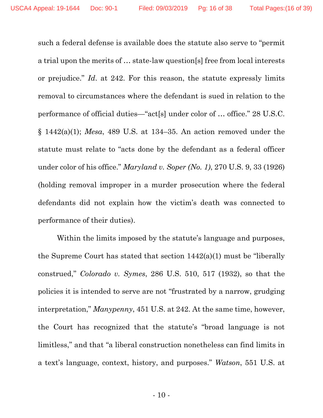such a federal defense is available does the statute also serve to "permit a trial upon the merits of … state-law question[s] free from local interests or prejudice." *Id*. at 242. For this reason, the statute expressly limits removal to circumstances where the defendant is sued in relation to the performance of official duties—"act[s] under color of … office." 28 U.S.C. § 1442(a)(1); *Mesa*, 489 U.S. at 134–35. An action removed under the statute must relate to "acts done by the defendant as a federal officer under color of his office." *Maryland v. Soper (No. 1)*, 270 U.S. 9, 33 (1926) (holding removal improper in a murder prosecution where the federal defendants did not explain how the victim's death was connected to performance of their duties).

Within the limits imposed by the statute's language and purposes, the Supreme Court has stated that section  $1442(a)(1)$  must be "liberally" construed," *Colorado v. Symes*, 286 U.S. 510, 517 (1932), so that the policies it is intended to serve are not "frustrated by a narrow, grudging interpretation," *Manypenny*, 451 U.S. at 242. At the same time, however, the Court has recognized that the statute's "broad language is not limitless," and that "a liberal construction nonetheless can find limits in a text's language, context, history, and purposes." *Watson*, 551 U.S. at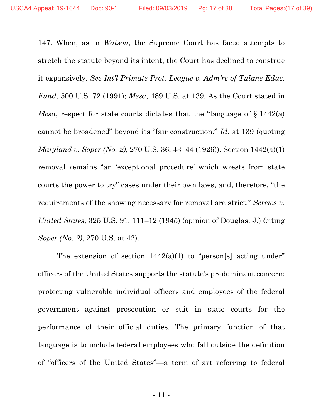147. When, as in *Watson*, the Supreme Court has faced attempts to stretch the statute beyond its intent, the Court has declined to construe it expansively. *See Int'l Primate Prot. League v. Adm'rs of Tulane Educ. Fund*, 500 U.S. 72 (1991); *Mesa*, 489 U.S. at 139. As the Court stated in *Mesa*, respect for state courts dictates that the "language of § 1442(a) cannot be broadened" beyond its "fair construction." *Id*. at 139 (quoting *Maryland v. Soper (No. 2)*, 270 U.S. 36, 43–44 (1926)). Section 1442(a)(1) removal remains "an 'exceptional procedure' which wrests from state courts the power to try" cases under their own laws, and, therefore, "the requirements of the showing necessary for removal are strict." *Screws v. United States*, 325 U.S. 91, 111–12 (1945) (opinion of Douglas, J.) (citing *Soper (No. 2)*, 270 U.S. at 42).

The extension of section  $1442(a)(1)$  to "person[s] acting under" officers of the United States supports the statute's predominant concern: protecting vulnerable individual officers and employees of the federal government against prosecution or suit in state courts for the performance of their official duties. The primary function of that language is to include federal employees who fall outside the definition of "officers of the United States"—a term of art referring to federal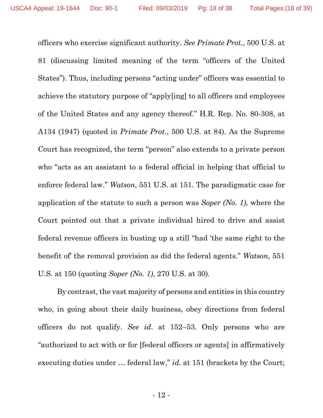officers who exercise significant authority. *See Primate Prot.*, 500 U.S. at 81 (discussing limited meaning of the term "officers of the United States"). Thus, including persons "acting under" officers was essential to achieve the statutory purpose of "apply[ing] to all officers and employees of the United States and any agency thereof." H.R. Rep. No. 80-308, at A134 (1947) (quoted in *Primate Prot.*, 500 U.S. at 84). As the Supreme Court has recognized, the term "person" also extends to a private person who "acts as an assistant to a federal official in helping that official to enforce federal law." *Watson*, 551 U.S. at 151. The paradigmatic case for application of the statute to such a person was *Soper (No. 1)*, where the Court pointed out that a private individual hired to drive and assist federal revenue officers in busting up a still "had 'the same right to the benefit of' the removal provision as did the federal agents." *Watson*, 551 U.S. at 150 (quoting *Soper (No. 1)*, 270 U.S. at 30).

By contrast, the vast majority of persons and entities in this country who, in going about their daily business, obey directions from federal officers do not qualify. *See id*. at 152–53. Only persons who are "authorized to act with or for [federal officers or agents] in affirmatively executing duties under … federal law," *id*. at 151 (brackets by the Court;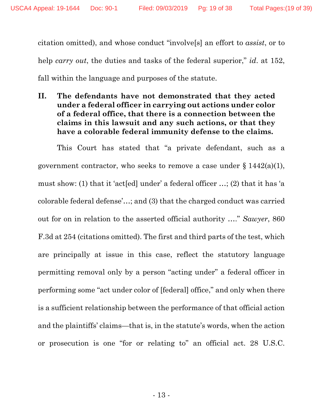citation omitted), and whose conduct "involve[s] an effort to *assist*, or to help *carry out*, the duties and tasks of the federal superior," *id*. at 152, fall within the language and purposes of the statute.

**II. The defendants have not demonstrated that they acted under a federal officer in carrying out actions under color of a federal office, that there is a connection between the claims in this lawsuit and any such actions, or that they have a colorable federal immunity defense to the claims.** 

This Court has stated that "a private defendant, such as a government contractor, who seeks to remove a case under  $\S 1442(a)(1)$ , must show: (1) that it 'act[ed] under' a federal officer …; (2) that it has 'a colorable federal defense'…; and (3) that the charged conduct was carried out for on in relation to the asserted official authority …." *Sawyer*, 860 F.3d at 254 (citations omitted). The first and third parts of the test, which are principally at issue in this case, reflect the statutory language permitting removal only by a person "acting under" a federal officer in performing some "act under color of [federal] office," and only when there is a sufficient relationship between the performance of that official action and the plaintiffs' claims—that is, in the statute's words, when the action or prosecution is one "for or relating to" an official act. 28 U.S.C.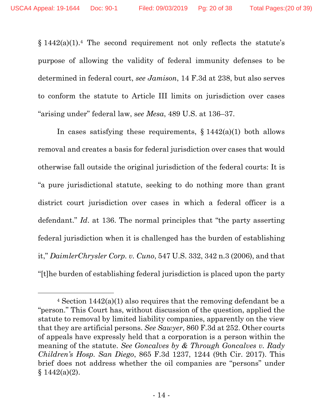$§$  1442(a)(1).<sup>4</sup> The second requirement not only reflects the statute's purpose of allowing the validity of federal immunity defenses to be determined in federal court, *see Jamison*, 14 F.3d at 238, but also serves to conform the statute to Article III limits on jurisdiction over cases "arising under" federal law, s*ee Mesa*, 489 U.S. at 136–37.

In cases satisfying these requirements,  $\S 1442(a)(1)$  both allows removal and creates a basis for federal jurisdiction over cases that would otherwise fall outside the original jurisdiction of the federal courts: It is "a pure jurisdictional statute, seeking to do nothing more than grant district court jurisdiction over cases in which a federal officer is a defendant." *Id*. at 136. The normal principles that "the party asserting federal jurisdiction when it is challenged has the burden of establishing it," *DaimlerChrysler Corp. v. Cuno*, 547 U.S. 332, 342 n.3 (2006), and that "[t]he burden of establishing federal jurisdiction is placed upon the party

<sup>4</sup> Section 1442(a)(1) also requires that the removing defendant be a "person." This Court has, without discussion of the question, applied the statute to removal by limited liability companies, apparently on the view that they are artificial persons. *See Sawyer*, 860 F.3d at 252. Other courts of appeals have expressly held that a corporation is a person within the meaning of the statute. *See Goncalves by & Through Goncalves v. Rady Children's Hosp. San Diego*, 865 F.3d 1237, 1244 (9th Cir. 2017). This brief does not address whether the oil companies are "persons" under  $§ 1442(a)(2).$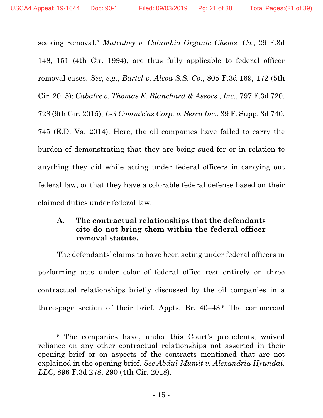seeking removal," *Mulcahey v. Columbia Organic Chems. Co.*, 29 F.3d 148, 151 (4th Cir. 1994), are thus fully applicable to federal officer removal cases. *See*, *e.g.*, *Bartel v. Alcoa S.S. Co.*, 805 F.3d 169, 172 (5th Cir. 2015); *Cabalce v. Thomas E. Blanchard & Assocs., Inc.*, 797 F.3d 720, 728 (9th Cir. 2015); *L-3 Comm'c'ns Corp. v. Serco Inc.*, 39 F. Supp. 3d 740, 745 (E.D. Va. 2014). Here, the oil companies have failed to carry the burden of demonstrating that they are being sued for or in relation to anything they did while acting under federal officers in carrying out federal law, or that they have a colorable federal defense based on their claimed duties under federal law.

## **A. The contractual relationships that the defendants cite do not bring them within the federal officer removal statute.**

The defendants' claims to have been acting under federal officers in performing acts under color of federal office rest entirely on three contractual relationships briefly discussed by the oil companies in a three-page section of their brief. Appts. Br. 40–43.5 The commercial

<sup>&</sup>lt;sup>5</sup> The companies have, under this Court's precedents, waived reliance on any other contractual relationships not asserted in their opening brief or on aspects of the contracts mentioned that are not explained in the opening brief. *See Abdul-Mumit v. Alexandria Hyundai, LLC*, 896 F.3d 278, 290 (4th Cir. 2018).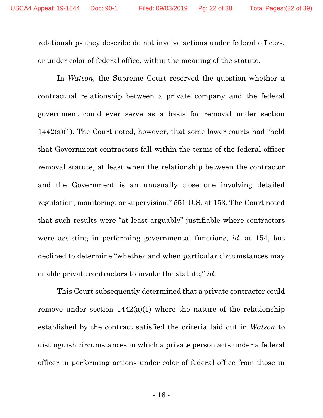relationships they describe do not involve actions under federal officers, or under color of federal office, within the meaning of the statute.

In *Watson*, the Supreme Court reserved the question whether a contractual relationship between a private company and the federal government could ever serve as a basis for removal under section  $1442(a)(1)$ . The Court noted, however, that some lower courts had "held" that Government contractors fall within the terms of the federal officer removal statute, at least when the relationship between the contractor and the Government is an unusually close one involving detailed regulation, monitoring, or supervision." 551 U.S. at 153. The Court noted that such results were "at least arguably" justifiable where contractors were assisting in performing governmental functions, *id*. at 154, but declined to determine "whether and when particular circumstances may enable private contractors to invoke the statute," *id*.

This Court subsequently determined that a private contractor could remove under section  $1442(a)(1)$  where the nature of the relationship established by the contract satisfied the criteria laid out in *Watson* to distinguish circumstances in which a private person acts under a federal officer in performing actions under color of federal office from those in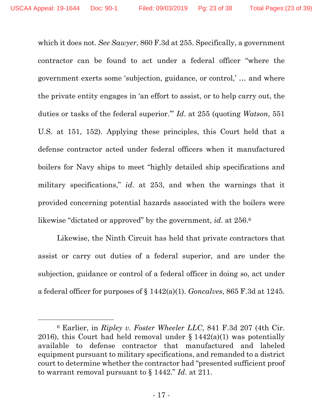which it does not. *See Sawyer*, 860 F.3d at 255. Specifically, a government contractor can be found to act under a federal officer "where the government exerts some 'subjection, guidance, or control,' … and where the private entity engages in 'an effort to assist, or to help carry out, the duties or tasks of the federal superior.'" *Id*. at 255 (quoting *Watson*, 551 U.S. at 151, 152). Applying these principles, this Court held that a defense contractor acted under federal officers when it manufactured boilers for Navy ships to meet "highly detailed ship specifications and military specifications," *id*. at 253, and when the warnings that it provided concerning potential hazards associated with the boilers were likewise "dictated or approved" by the government, *id*. at 256.6

Likewise, the Ninth Circuit has held that private contractors that assist or carry out duties of a federal superior, and are under the subjection, guidance or control of a federal officer in doing so, act under a federal officer for purposes of § 1442(a)(1). *Goncalves*, 865 F.3d at 1245.

<sup>6</sup> Earlier, in *Ripley v. Foster Wheeler LLC*, 841 F.3d 207 (4th Cir. 2016), this Court had held removal under  $\S 1442(a)(1)$  was potentially available to defense contractor that manufactured and labeled equipment pursuant to military specifications, and remanded to a district court to determine whether the contractor had "presented sufficient proof to warrant removal pursuant to § 1442." *Id*. at 211.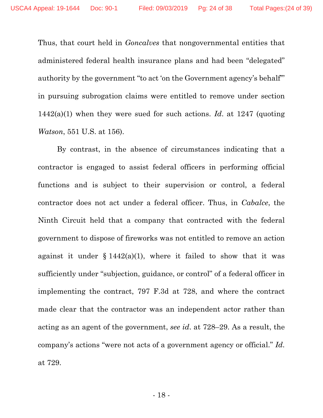Thus, that court held in *Goncalves* that nongovernmental entities that administered federal health insurance plans and had been "delegated" authority by the government "to act 'on the Government agency's behalf'" in pursuing subrogation claims were entitled to remove under section 1442(a)(1) when they were sued for such actions. *Id*. at 1247 (quoting *Watson*, 551 U.S. at 156).

By contrast, in the absence of circumstances indicating that a contractor is engaged to assist federal officers in performing official functions and is subject to their supervision or control, a federal contractor does not act under a federal officer. Thus, in *Cabalce*, the Ninth Circuit held that a company that contracted with the federal government to dispose of fireworks was not entitled to remove an action against it under  $§ 1442(a)(1)$ , where it failed to show that it was sufficiently under "subjection, guidance, or control" of a federal officer in implementing the contract, 797 F.3d at 728, and where the contract made clear that the contractor was an independent actor rather than acting as an agent of the government, *see id*. at 728–29. As a result, the company's actions "were not acts of a government agency or official." *Id*. at 729.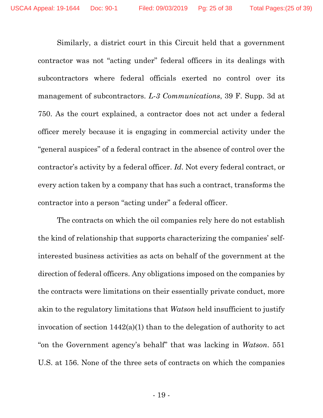Similarly, a district court in this Circuit held that a government contractor was not "acting under" federal officers in its dealings with subcontractors where federal officials exerted no control over its management of subcontractors. *L-3 Communications*, 39 F. Supp. 3d at 750. As the court explained, a contractor does not act under a federal officer merely because it is engaging in commercial activity under the "general auspices" of a federal contract in the absence of control over the contractor's activity by a federal officer. *Id*. Not every federal contract, or every action taken by a company that has such a contract, transforms the contractor into a person "acting under" a federal officer.

The contracts on which the oil companies rely here do not establish the kind of relationship that supports characterizing the companies' selfinterested business activities as acts on behalf of the government at the direction of federal officers. Any obligations imposed on the companies by the contracts were limitations on their essentially private conduct, more akin to the regulatory limitations that *Watson* held insufficient to justify invocation of section 1442(a)(1) than to the delegation of authority to act "on the Government agency's behalf" that was lacking in *Watson*. 551 U.S. at 156. None of the three sets of contracts on which the companies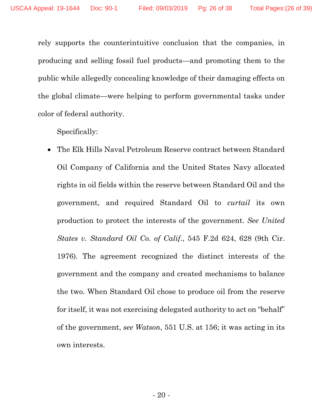rely supports the counterintuitive conclusion that the companies, in producing and selling fossil fuel products—and promoting them to the public while allegedly concealing knowledge of their damaging effects on the global climate—were helping to perform governmental tasks under color of federal authority.

Specifically:

 The Elk Hills Naval Petroleum Reserve contract between Standard Oil Company of California and the United States Navy allocated rights in oil fields within the reserve between Standard Oil and the government, and required Standard Oil to *curtail* its own production to protect the interests of the government. *See United States v. Standard Oil Co. of Calif.*, 545 F.2d 624, 628 (9th Cir. 1976). The agreement recognized the distinct interests of the government and the company and created mechanisms to balance the two. When Standard Oil chose to produce oil from the reserve for itself, it was not exercising delegated authority to act on "behalf" of the government, *see Watson*, 551 U.S. at 156; it was acting in its own interests.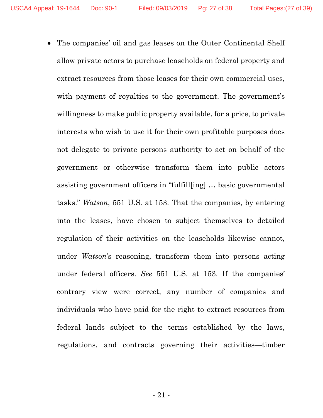The companies' oil and gas leases on the Outer Continental Shelf allow private actors to purchase leaseholds on federal property and extract resources from those leases for their own commercial uses, with payment of royalties to the government. The government's willingness to make public property available, for a price, to private interests who wish to use it for their own profitable purposes does not delegate to private persons authority to act on behalf of the government or otherwise transform them into public actors assisting government officers in "fulfill[ing] … basic governmental tasks." *Watson*, 551 U.S. at 153. That the companies, by entering into the leases, have chosen to subject themselves to detailed regulation of their activities on the leaseholds likewise cannot, under *Watson*'s reasoning, transform them into persons acting under federal officers. *See* 551 U.S. at 153. If the companies' contrary view were correct, any number of companies and individuals who have paid for the right to extract resources from federal lands subject to the terms established by the laws, regulations, and contracts governing their activities—timber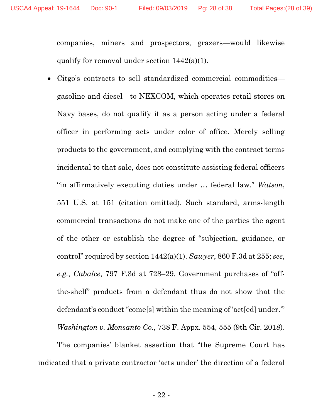companies, miners and prospectors, grazers—would likewise qualify for removal under section 1442(a)(1).

 Citgo's contracts to sell standardized commercial commodities gasoline and diesel—to NEXCOM, which operates retail stores on Navy bases, do not qualify it as a person acting under a federal officer in performing acts under color of office. Merely selling products to the government, and complying with the contract terms incidental to that sale, does not constitute assisting federal officers "in affirmatively executing duties under … federal law." *Watson*, 551 U.S. at 151 (citation omitted). Such standard, arms-length commercial transactions do not make one of the parties the agent of the other or establish the degree of "subjection, guidance, or control" required by section 1442(a)(1). *Sawyer*, 860 F.3d at 255; *see*, *e.g.*, *Cabalce*, 797 F.3d at 728–29. Government purchases of "offthe-shelf" products from a defendant thus do not show that the defendant's conduct "come[s] within the meaning of 'act[ed] under.'" *Washington v. Monsanto Co.*, 738 F. Appx. 554, 555 (9th Cir. 2018).

The companies' blanket assertion that "the Supreme Court has indicated that a private contractor 'acts under' the direction of a federal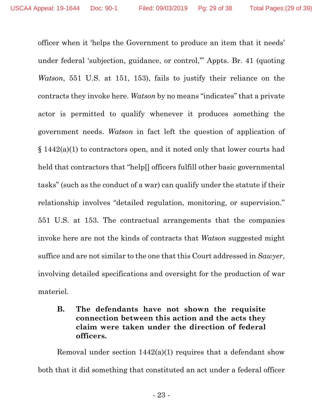officer when it 'helps the Government to produce an item that it needs' under federal 'subjection, guidance, or control,'" Appts. Br. 41 (quoting *Watson*, 551 U.S. at 151, 153), fails to justify their reliance on the contracts they invoke here. *Watson* by no means "indicates" that a private actor is permitted to qualify whenever it produces something the government needs. *Watson* in fact left the question of application of § 1442(a)(1) to contractors open, and it noted only that lower courts had held that contractors that "help[] officers fulfill other basic governmental tasks" (such as the conduct of a war) can qualify under the statute if their relationship involves "detailed regulation, monitoring, or supervision." 551 U.S. at 153. The contractual arrangements that the companies invoke here are not the kinds of contracts that *Watson* suggested might suffice and are not similar to the one that this Court addressed in *Sawyer*, involving detailed specifications and oversight for the production of war materiel.

## **B. The defendants have not shown the requisite connection between this action and the acts they claim were taken under the direction of federal officers.**

Removal under section  $1442(a)(1)$  requires that a defendant show both that it did something that constituted an act under a federal officer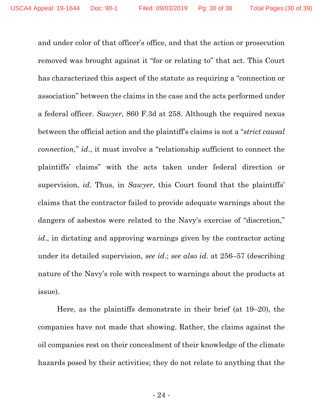and under color of that officer's office, and that the action or prosecution removed was brought against it "for or relating to" that act. This Court has characterized this aspect of the statute as requiring a "connection or association" between the claims in the case and the acts performed under a federal officer. *Sawyer*, 860 F.3d at 258. Although the required nexus between the official action and the plaintiff's claims is not a "*strict causal connection*," *id*., it must involve a "relationship sufficient to connect the plaintiffs' claims" with the acts taken under federal direction or supervision, *id*. Thus, in *Sawyer*, this Court found that the plaintiffs' claims that the contractor failed to provide adequate warnings about the dangers of asbestos were related to the Navy's exercise of "discretion," *id*., in dictating and approving warnings given by the contractor acting under its detailed supervision, *see id*.; *see also id*. at 256–57 (describing nature of the Navy's role with respect to warnings about the products at issue).

Here, as the plaintiffs demonstrate in their brief (at 19–20), the companies have not made that showing. Rather, the claims against the oil companies rest on their concealment of their knowledge of the climate hazards posed by their activities; they do not relate to anything that the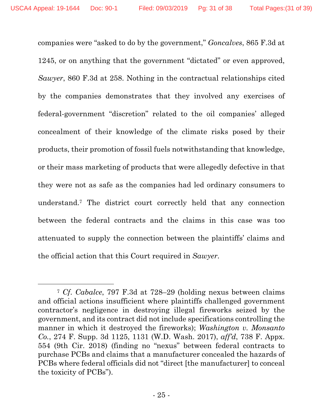companies were "asked to do by the government," *Goncalves*, 865 F.3d at 1245, or on anything that the government "dictated" or even approved, *Sawyer*, 860 F.3d at 258. Nothing in the contractual relationships cited by the companies demonstrates that they involved any exercises of federal-government "discretion" related to the oil companies' alleged concealment of their knowledge of the climate risks posed by their products, their promotion of fossil fuels notwithstanding that knowledge, or their mass marketing of products that were allegedly defective in that they were not as safe as the companies had led ordinary consumers to understand.7 The district court correctly held that any connection between the federal contracts and the claims in this case was too attenuated to supply the connection between the plaintiffs' claims and the official action that this Court required in *Sawyer*.

<sup>7</sup> *Cf*. *Cabalce*, 797 F.3d at 728–29 (holding nexus between claims and official actions insufficient where plaintiffs challenged government contractor's negligence in destroying illegal fireworks seized by the government, and its contract did not include specifications controlling the manner in which it destroyed the fireworks); *Washington v. Monsanto Co.*, 274 F. Supp. 3d 1125, 1131 (W.D. Wash. 2017), *aff'd*, 738 F. Appx. 554 (9th Cir. 2018) (finding no "nexus" between federal contracts to purchase PCBs and claims that a manufacturer concealed the hazards of PCBs where federal officials did not "direct [the manufacturer] to conceal the toxicity of PCBs").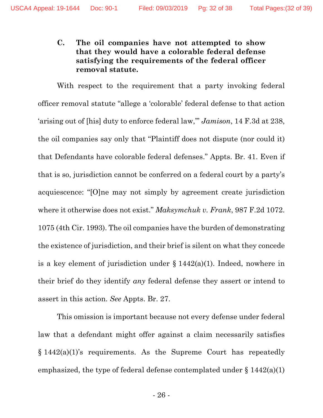### **C. The oil companies have not attempted to show that they would have a colorable federal defense satisfying the requirements of the federal officer removal statute.**

With respect to the requirement that a party invoking federal officer removal statute "allege a 'colorable' federal defense to that action 'arising out of [his] duty to enforce federal law,'" *Jamison*, 14 F.3d at 238, the oil companies say only that "Plaintiff does not dispute (nor could it) that Defendants have colorable federal defenses." Appts. Br. 41. Even if that is so, jurisdiction cannot be conferred on a federal court by a party's acquiescence: "[O]ne may not simply by agreement create jurisdiction where it otherwise does not exist." *Maksymchuk v. Frank*, 987 F.2d 1072. 1075 (4th Cir. 1993). The oil companies have the burden of demonstrating the existence of jurisdiction, and their brief is silent on what they concede is a key element of jurisdiction under  $\S 1442(a)(1)$ . Indeed, nowhere in their brief do they identify *any* federal defense they assert or intend to assert in this action. *See* Appts. Br. 27.

This omission is important because not every defense under federal law that a defendant might offer against a claim necessarily satisfies  $§ 1442(a)(1)$ 's requirements. As the Supreme Court has repeatedly emphasized, the type of federal defense contemplated under  $\S 1442(a)(1)$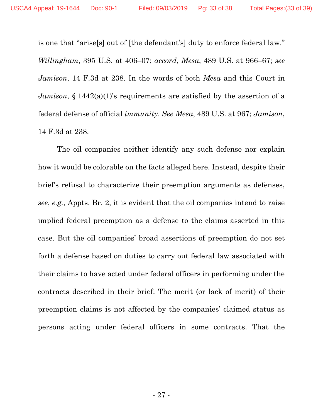is one that "arise[s] out of [the defendant's] duty to enforce federal law." *Willingham*, 395 U.S. at 406–07; *accord*, *Mesa*, 489 U.S. at 966–67; *see Jamison*, 14 F.3d at 238. In the words of both *Mesa* and this Court in *Jamison*, § 1442(a)(1)'s requirements are satisfied by the assertion of a federal defense of official *immunity*. *See Mesa*, 489 U.S. at 967; *Jamison*, 14 F.3d at 238.

The oil companies neither identify any such defense nor explain how it would be colorable on the facts alleged here. Instead, despite their brief's refusal to characterize their preemption arguments as defenses, *see*, *e.g.*, Appts. Br. 2, it is evident that the oil companies intend to raise implied federal preemption as a defense to the claims asserted in this case. But the oil companies' broad assertions of preemption do not set forth a defense based on duties to carry out federal law associated with their claims to have acted under federal officers in performing under the contracts described in their brief: The merit (or lack of merit) of their preemption claims is not affected by the companies' claimed status as persons acting under federal officers in some contracts. That the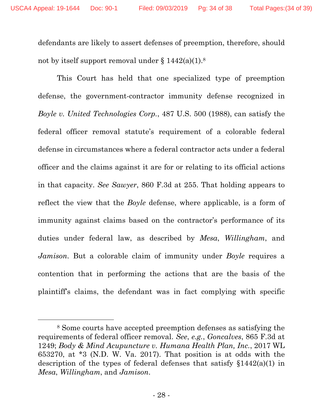defendants are likely to assert defenses of preemption, therefore, should not by itself support removal under  $\S 1442(a)(1).$ <sup>8</sup>

This Court has held that one specialized type of preemption defense, the government-contractor immunity defense recognized in *Boyle v. United Technologies Corp.*, 487 U.S. 500 (1988), can satisfy the federal officer removal statute's requirement of a colorable federal defense in circumstances where a federal contractor acts under a federal officer and the claims against it are for or relating to its official actions in that capacity. *See Sawyer*, 860 F.3d at 255. That holding appears to reflect the view that the *Boyle* defense, where applicable, is a form of immunity against claims based on the contractor's performance of its duties under federal law, as described by *Mesa*, *Willingham*, and *Jamison*. But a colorable claim of immunity under *Boyle* requires a contention that in performing the actions that are the basis of the plaintiff's claims, the defendant was in fact complying with specific

<sup>8</sup> Some courts have accepted preemption defenses as satisfying the requirements of federal officer removal. *See*, *e.g.*, *Goncalves*, 865 F.3d at 1249; *Body & Mind Acupuncture v. Humana Health Plan, Inc.*, 2017 WL 653270, at \*3 (N.D. W. Va. 2017). That position is at odds with the description of the types of federal defenses that satisfy §1442(a)(1) in *Mesa*, *Willingham*, and *Jamison*.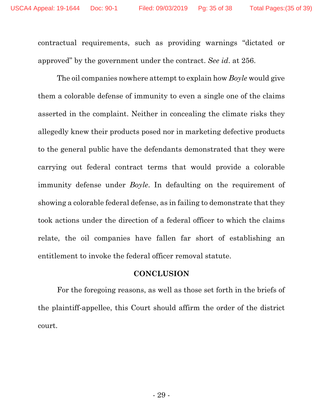contractual requirements, such as providing warnings "dictated or approved" by the government under the contract. *See id*. at 256.

The oil companies nowhere attempt to explain how *Boyle* would give them a colorable defense of immunity to even a single one of the claims asserted in the complaint. Neither in concealing the climate risks they allegedly knew their products posed nor in marketing defective products to the general public have the defendants demonstrated that they were carrying out federal contract terms that would provide a colorable immunity defense under *Boyle*. In defaulting on the requirement of showing a colorable federal defense, as in failing to demonstrate that they took actions under the direction of a federal officer to which the claims relate, the oil companies have fallen far short of establishing an entitlement to invoke the federal officer removal statute.

#### **CONCLUSION**

For the foregoing reasons, as well as those set forth in the briefs of the plaintiff-appellee, this Court should affirm the order of the district court.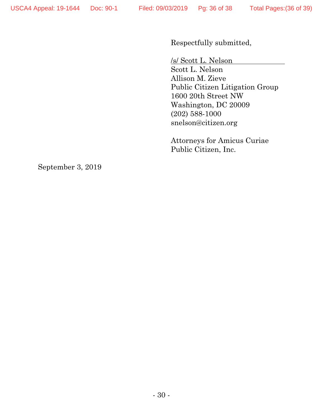Respectfully submitted,

/s/ Scott L. Nelson

Scott L. Nelson Allison M. Zieve Public Citizen Litigation Group 1600 20th Street NW Washington, DC 20009 (202) 588-1000 snelson@citizen.org

Attorneys for Amicus Curiae Public Citizen, Inc.

September 3, 2019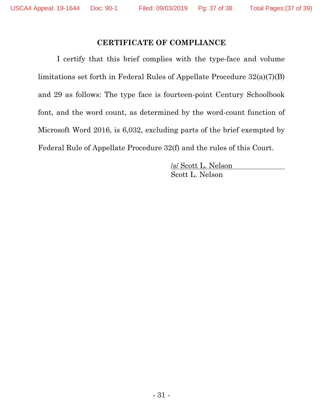#### **CERTIFICATE OF COMPLIANCE**

I certify that this brief complies with the type-face and volume limitations set forth in Federal Rules of Appellate Procedure 32(a)(7)(B) and 29 as follows: The type face is fourteen-point Century Schoolbook font, and the word count, as determined by the word-count function of Microsoft Word 2016, is 6,032, excluding parts of the brief exempted by Federal Rule of Appellate Procedure 32(f) and the rules of this Court.

> /s/ Scott L. Nelson Scott L. Nelson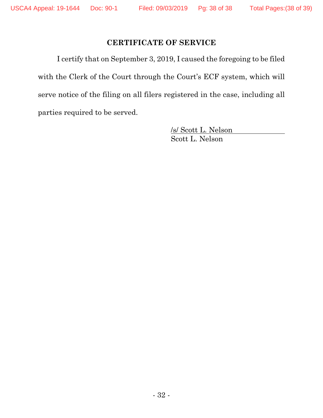## **CERTIFICATE OF SERVICE**

I certify that on September 3, 2019, I caused the foregoing to be filed with the Clerk of the Court through the Court's ECF system, which will serve notice of the filing on all filers registered in the case, including all parties required to be served.

> /s/ Scott L. Nelson Scott L. Nelson